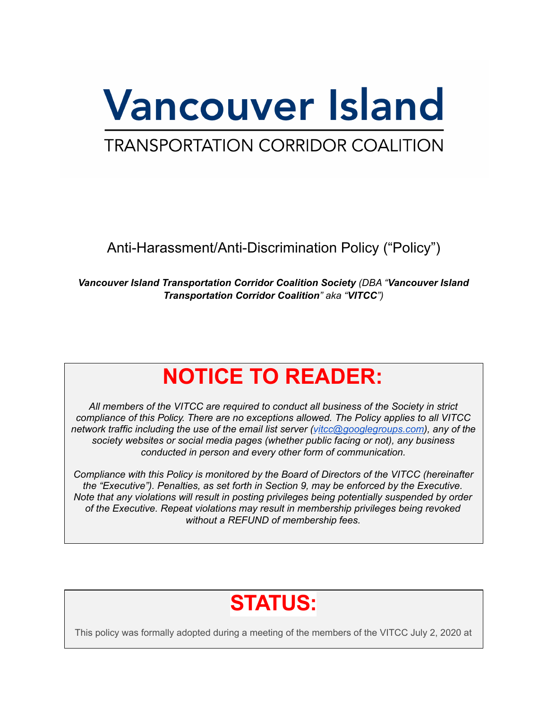# **Vancouver Island TRANSPORTATION CORRIDOR COALITION**

Anti-Harassment/Anti-Discrimination Policy ("Policy")

*Vancouver Island Transportation Corridor Coalition Society (DBA "Vancouver Island Transportation Corridor Coalition" aka "VITCC")*

# **NOTICE TO READER:**

*All members of the VITCC are required to conduct all business of the Society in strict compliance of this Policy. There are no exceptions allowed. The Policy applies to all VITCC network traffic including the use of the email list server [\(vitcc@googlegroups.com\)](mailto:vitcc@googlegroups.com), any of the society websites or social media pages (whether public facing or not), any business conducted in person and every other form of communication.*

*Compliance with this Policy is monitored by the Board of Directors of the VITCC (hereinafter the "Executive"). Penalties, as set forth in Section 9, may be enforced by the Executive. Note that any violations will result in posting privileges being potentially suspended by order of the Executive. Repeat violations may result in membership privileges being revoked without a REFUND of membership fees.*

# **STATUS:**

This policy was formally adopted during a meeting of the members of the VITCC July 2, 2020 at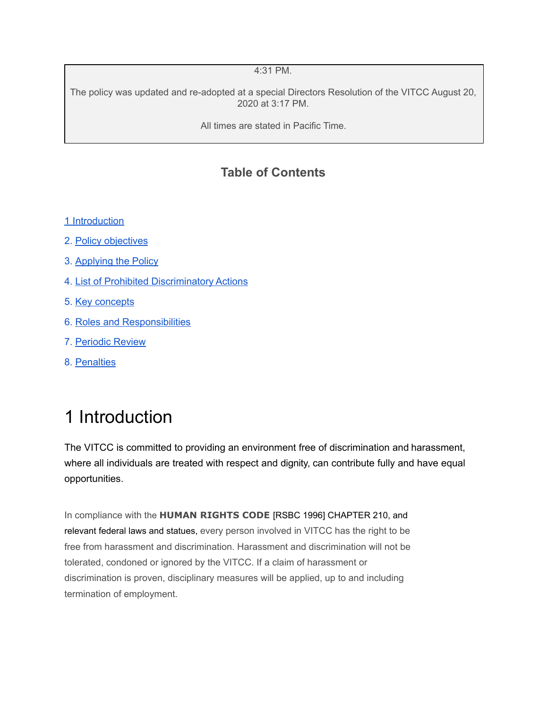4:31 PM.

The policy was updated and re-adopted at a special Directors Resolution of the VITCC August 20, 2020 at 3:17 PM.

All times are stated in Pacific Time.

#### **Table of Contents**

- 1 Introduction
- 2. Policy objectives
- 3. Applying the Policy
- 4. List of Prohibited Discriminatory Actions
- 5. Key concepts
- 6. Roles and Responsibilities
- 7. Periodic Review
- 8. Penalties

#### 1 Introduction

The VITCC is committed to providing an environment free of discrimination and harassment, where all individuals are treated with respect and dignity, can contribute fully and have equal opportunities.

In compliance with the **HUMAN RIGHTS CODE** [RSBC 1996] CHAPTER 210, and relevant federal laws and statues, every person involved in VITCC has the right to be free from harassment and discrimination. Harassment and discrimination will not be tolerated, condoned or ignored by the VITCC. If a claim of harassment or discrimination is proven, disciplinary measures will be applied, up to and including termination of employment.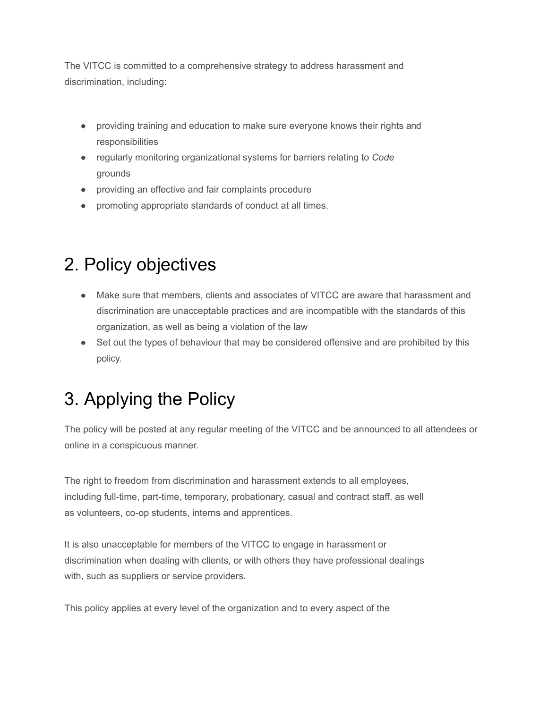The VITCC is committed to a comprehensive strategy to address harassment and discrimination, including:

- providing training and education to make sure everyone knows their rights and responsibilities
- regularly monitoring organizational systems for barriers relating to *Code* grounds
- providing an effective and fair complaints procedure
- promoting appropriate standards of conduct at all times.

#### 2. Policy objectives

- Make sure that members, clients and associates of VITCC are aware that harassment and discrimination are unacceptable practices and are incompatible with the standards of this organization, as well as being a violation of the law
- Set out the types of behaviour that may be considered offensive and are prohibited by this policy.

## 3. Applying the Policy

The policy will be posted at any regular meeting of the VITCC and be announced to all attendees or online in a conspicuous manner.

The right to freedom from discrimination and harassment extends to all employees, including full-time, part-time, temporary, probationary, casual and contract staff, as well as volunteers, co-op students, interns and apprentices.

It is also unacceptable for members of the VITCC to engage in harassment or discrimination when dealing with clients, or with others they have professional dealings with, such as suppliers or service providers.

This policy applies at every level of the organization and to every aspect of the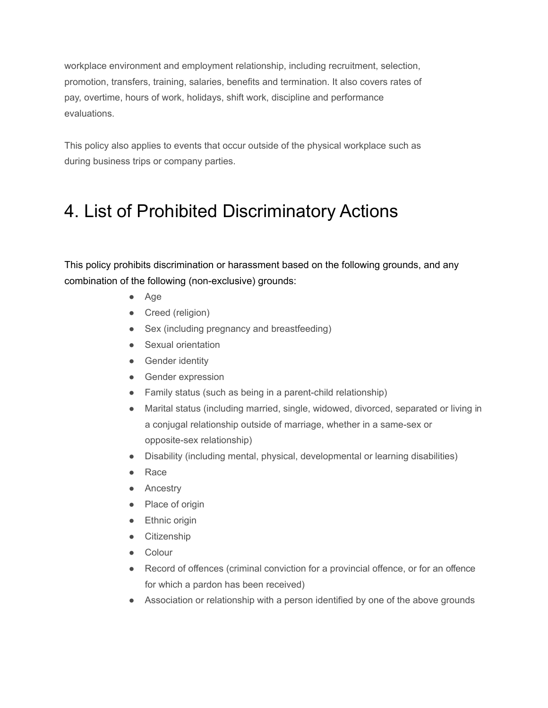workplace environment and employment relationship, including recruitment, selection, promotion, transfers, training, salaries, benefits and termination. It also covers rates of pay, overtime, hours of work, holidays, shift work, discipline and performance evaluations.

This policy also applies to events that occur outside of the physical workplace such as during business trips or company parties.

#### 4. List of Prohibited Discriminatory Actions

This policy prohibits discrimination or harassment based on the following grounds, and any combination of the following (non-exclusive) grounds:

- Age
- Creed (religion)
- Sex (including pregnancy and breastfeeding)
- Sexual orientation
- Gender identity
- Gender expression
- Family status (such as being in a parent-child relationship)
- Marital status (including married, single, widowed, divorced, separated or living in a conjugal relationship outside of marriage, whether in a same-sex or opposite-sex relationship)
- Disability (including mental, physical, developmental or learning disabilities)
- Race
- Ancestry
- Place of origin
- Ethnic origin
- Citizenship
- Colour
- Record of offences (criminal conviction for a provincial offence, or for an offence for which a pardon has been received)
- Association or relationship with a person identified by one of the above grounds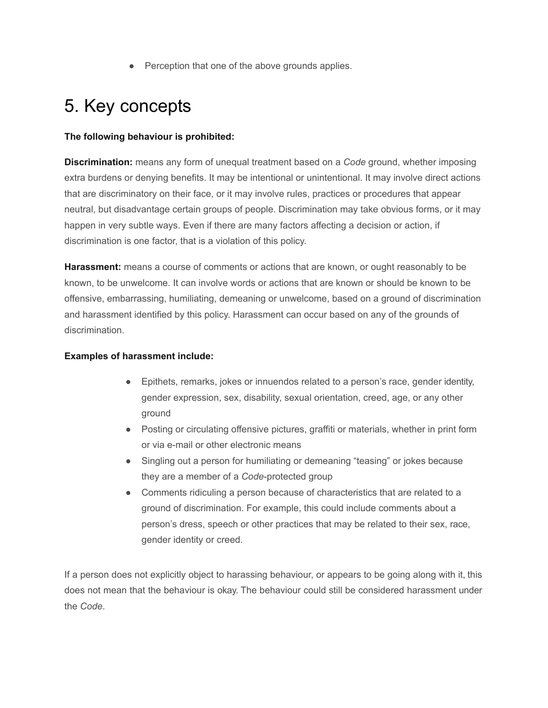• Perception that one of the above grounds applies.

### 5. Key concepts

#### **The following behaviour is prohibited:**

**Discrimination:** means any form of unequal treatment based on a *Code* ground, whether imposing extra burdens or denying benefits. It may be intentional or unintentional. It may involve direct actions that are discriminatory on their face, or it may involve rules, practices or procedures that appear neutral, but disadvantage certain groups of people. Discrimination may take obvious forms, or it may happen in very subtle ways. Even if there are many factors affecting a decision or action, if discrimination is one factor, that is a violation of this policy.

**Harassment:** means a course of comments or actions that are known, or ought reasonably to be known, to be unwelcome. It can involve words or actions that are known or should be known to be offensive, embarrassing, humiliating, demeaning or unwelcome, based on a ground of discrimination and harassment identified by this policy. Harassment can occur based on any of the grounds of discrimination.

#### **Examples of harassment include:**

- Epithets, remarks, jokes or innuendos related to a person's race, gender identity, gender expression, sex, disability, sexual orientation, creed, age, or any other ground
- Posting or circulating offensive pictures, graffiti or materials, whether in print form or via e-mail or other electronic means
- Singling out a person for humiliating or demeaning "teasing" or jokes because they are a member of a *Code*-protected group
- Comments ridiculing a person because of characteristics that are related to a ground of discrimination. For example, this could include comments about a person's dress, speech or other practices that may be related to their sex, race, gender identity or creed.

If a person does not explicitly object to harassing behaviour, or appears to be going along with it, this does not mean that the behaviour is okay. The behaviour could still be considered harassment under the *Code*.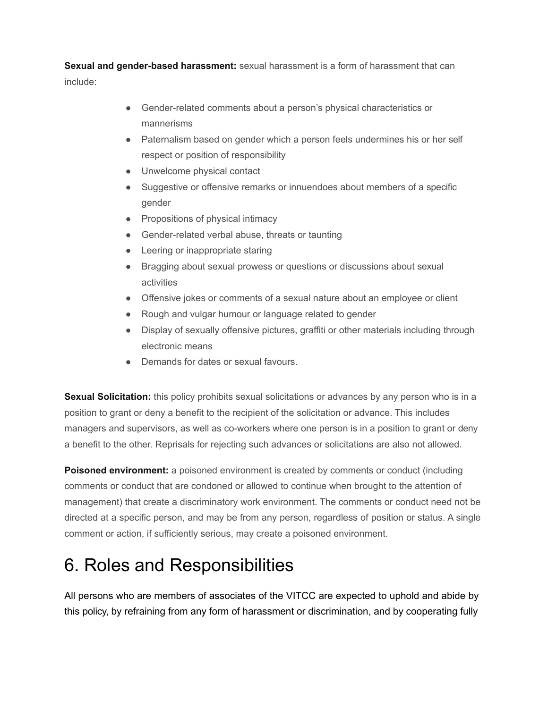**Sexual and gender-based harassment:** sexual harassment is a form of harassment that can include:

- Gender-related comments about a person's physical characteristics or mannerisms
- Paternalism based on gender which a person feels undermines his or her self respect or position of responsibility
- Unwelcome physical contact
- Suggestive or offensive remarks or innuendoes about members of a specific gender
- Propositions of physical intimacy
- Gender-related verbal abuse, threats or taunting
- Leering or inappropriate staring
- Bragging about sexual prowess or questions or discussions about sexual activities
- Offensive jokes or comments of a sexual nature about an employee or client
- Rough and vulgar humour or language related to gender
- Display of sexually offensive pictures, graffiti or other materials including through electronic means
- Demands for dates or sexual favours.

**Sexual Solicitation:** this policy prohibits sexual solicitations or advances by any person who is in a position to grant or deny a benefit to the recipient of the solicitation or advance. This includes managers and supervisors, as well as co-workers where one person is in a position to grant or deny a benefit to the other. Reprisals for rejecting such advances or solicitations are also not allowed.

**Poisoned environment:** a poisoned environment is created by comments or conduct (including comments or conduct that are condoned or allowed to continue when brought to the attention of management) that create a discriminatory work environment. The comments or conduct need not be directed at a specific person, and may be from any person, regardless of position or status. A single comment or action, if sufficiently serious, may create a poisoned environment.

#### 6. Roles and Responsibilities

All persons who are members of associates of the VITCC are expected to uphold and abide by this policy, by refraining from any form of harassment or discrimination, and by cooperating fully